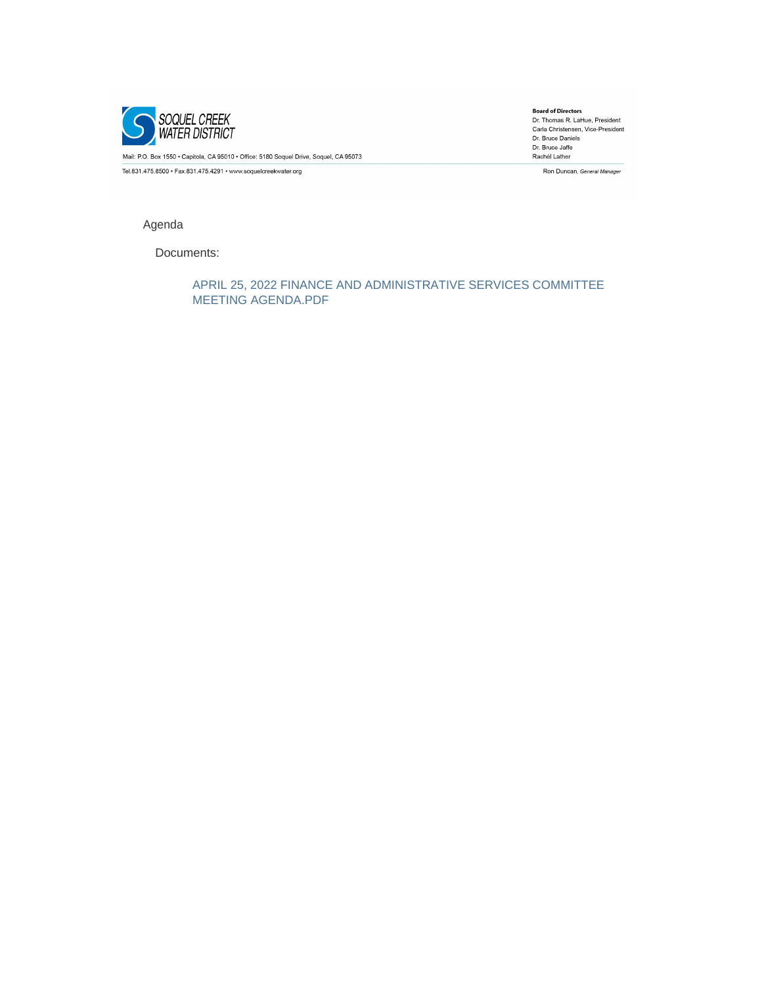

Mail: P.O. Box 1550 · Capitola, CA 95010 · Office: 5180 Soquel Drive, Soquel, CA 95073

Tel.831.475.8500 · Fax.831.475.4291 · www.soquelcreekwater.org

**Board of Directors**<br>Dr. Thomas R. LaHue, President<br>Carla Christensen, Vice-President Dr. Bruce Daniels Dr. Bruce Jaffe Rachél Lather

Ron Duncan, General Manager

## Agenda

Documents:

APRIL 25, 2022 FINANCE AND ADMINISTRATIVE SERVICES COMMITTEE MEETING AGENDA.PDF